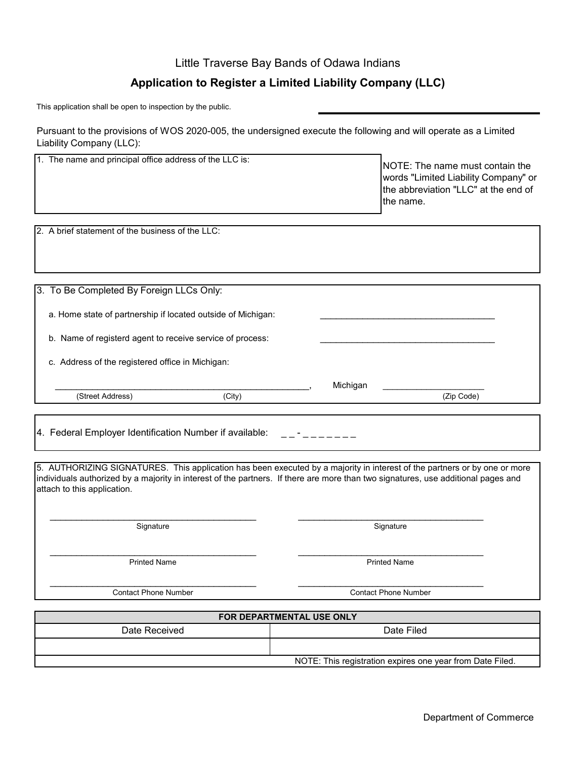## **Application to Register a Limited Liability Company (LLC)** Little Traverse Bay Bands of Odawa Indians

This application shall be open to inspection by the public.

Pursuant to the provisions of WOS 2020-005, the undersigned execute the following and will operate as a Limited Liability Company (LLC):

| 1. The name and principal office address of the LLC is:                                                                                                                                                                                                                                       | NOTE: The name must contain the<br>words "Limited Liability Company" or<br>the abbreviation "LLC" at the end of<br>the name. |
|-----------------------------------------------------------------------------------------------------------------------------------------------------------------------------------------------------------------------------------------------------------------------------------------------|------------------------------------------------------------------------------------------------------------------------------|
| 2. A brief statement of the business of the LLC:                                                                                                                                                                                                                                              |                                                                                                                              |
|                                                                                                                                                                                                                                                                                               |                                                                                                                              |
| 3. To Be Completed By Foreign LLCs Only:                                                                                                                                                                                                                                                      |                                                                                                                              |
| a. Home state of partnership if located outside of Michigan:                                                                                                                                                                                                                                  |                                                                                                                              |
| b. Name of registerd agent to receive service of process:                                                                                                                                                                                                                                     |                                                                                                                              |
| c. Address of the registered office in Michigan:                                                                                                                                                                                                                                              |                                                                                                                              |
| (City)<br>(Street Address)                                                                                                                                                                                                                                                                    | Michigan<br>(Zip Code)                                                                                                       |
|                                                                                                                                                                                                                                                                                               |                                                                                                                              |
| 4. Federal Employer Identification Number if available:                                                                                                                                                                                                                                       |                                                                                                                              |
|                                                                                                                                                                                                                                                                                               |                                                                                                                              |
| 5. AUTHORIZING SIGNATURES. This application has been executed by a majority in interest of the partners or by one or more<br>individuals authorized by a majority in interest of the partners. If there are more than two signatures, use additional pages and<br>attach to this application. |                                                                                                                              |
| Signature                                                                                                                                                                                                                                                                                     | Signature                                                                                                                    |
| <b>Printed Name</b>                                                                                                                                                                                                                                                                           | <b>Printed Name</b>                                                                                                          |
| <b>Contact Phone Number</b>                                                                                                                                                                                                                                                                   | <b>Contact Phone Number</b>                                                                                                  |
| FOR DEPARTMENTAL USE ONLY                                                                                                                                                                                                                                                                     |                                                                                                                              |
|                                                                                                                                                                                                                                                                                               |                                                                                                                              |

| Date Received | Date Filed                                                |
|---------------|-----------------------------------------------------------|
|               |                                                           |
|               | NOTE: This registration expires one year from Date Filed. |